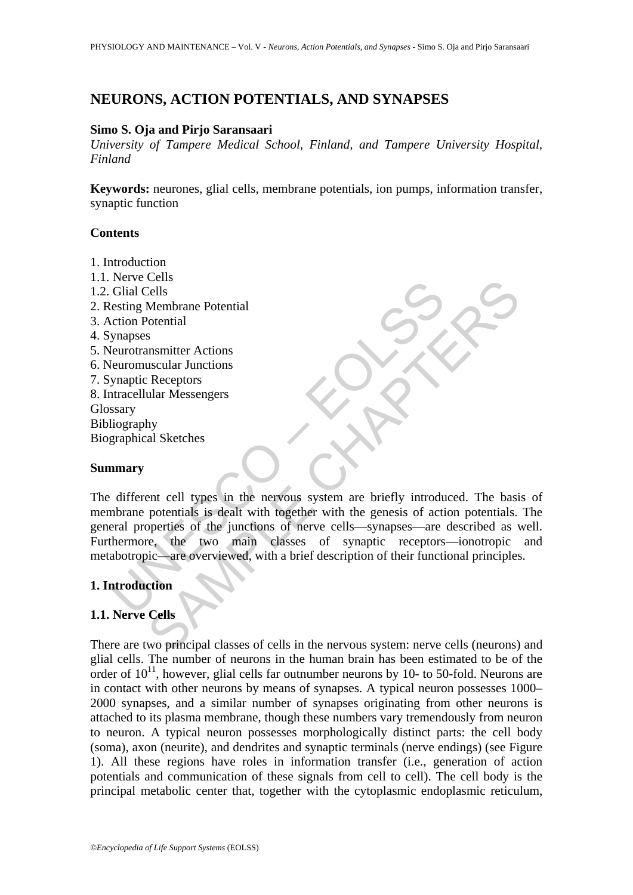## **NEURONS, ACTION POTENTIALS, AND SYNAPSES**

#### **Simo S. Oja and Pirjo Saransaari**

*University of Tampere Medical School, Finland, and Tampere University Hospital, Finland* 

**Keywords:** neurones, glial cells, membrane potentials, ion pumps, information transfer, synaptic function

#### **Contents**

- 1. Introduction
- 1.1. Nerve Cells
- 1.2. Glial Cells
- 2. Resting Membrane Potential
- 3. Action Potential
- 4. Synapses
- 5. Neurotransmitter Actions
- 6. Neuromuscular Junctions
- 7. Synaptic Receptors
- 8. Intracellular Messengers Glossary Bibliography
- Biographical Sketches

#### **Summary**

Neuro Constantine Retain<br>
Clial Cells<br>
esting Membrane Potential<br>
esting Membrane Potential<br>
strangular Junctions<br>
strangular Messengers<br>
stary<br>
ingraphical Sketches<br> **mary**<br>
different cell types in the nervous system are Cents<br>
Cells<br>
Nembrane Potential<br>
Sels<br>
Sels<br>
Show manniter Actions<br>
suscular Junctions<br>
suscular Junctions<br>
Ally<br>
the ally subset are briefly introduced. The basis<br>
poeticials is dealt with the persons of action potential The different cell types in the nervous system are briefly introduced. The basis of membrane potentials is dealt with together with the genesis of action potentials. The general properties of the junctions of nerve cells—synapses—are described as well. Furthermore, the two main classes of synaptic receptors—ionotropic and metabotropic—are overviewed, with a brief description of their functional principles.

## **1. Introduction**

#### **1.1. Nerve Cells**

There are two principal classes of cells in the nervous system: nerve cells (neurons) and glial cells. The number of neurons in the human brain has been estimated to be of the order of  $10^{11}$ , however, glial cells far outnumber neurons by 10- to 50-fold. Neurons are in contact with other neurons by means of synapses. A typical neuron possesses 1000– 2000 synapses, and a similar number of synapses originating from other neurons is attached to its plasma membrane, though these numbers vary tremendously from neuron to neuron. A typical neuron possesses morphologically distinct parts: the cell body (soma), axon (neurite), and dendrites and synaptic terminals (nerve endings) (see Figure 1). All these regions have roles in information transfer (i.e., generation of action potentials and communication of these signals from cell to cell). The cell body is the principal metabolic center that, together with the cytoplasmic endoplasmic reticulum,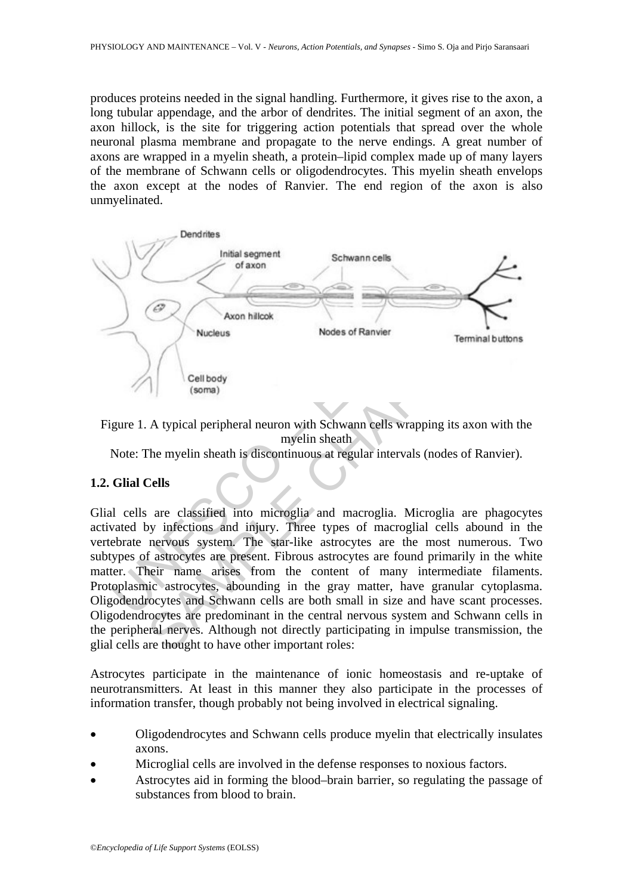produces proteins needed in the signal handling. Furthermore, it gives rise to the axon, a long tubular appendage, and the arbor of dendrites. The initial segment of an axon, the axon hillock, is the site for triggering action potentials that spread over the whole neuronal plasma membrane and propagate to the nerve endings. A great number of axons are wrapped in a myelin sheath, a protein–lipid complex made up of many layers of the membrane of Schwann cells or oligodendrocytes. This myelin sheath envelops the axon except at the nodes of Ranvier. The end region of the axon is also unmyelinated.





Note: The myelin sheath is discontinuous at regular intervals (nodes of Ranvier).

#### **1.2. Glial Cells**

Axon hillcok<br>
Nucleus<br>
Nucleus<br>
Nucleus<br>
Nucleus<br>
Nucleus<br>
Nucleus<br>
Cellbody<br>
(soma)<br>
A typical peripheral neuron with Schwann cells wrapping its axon with t<br>
myelin sheath<br>
The myelin sheath<br>
The myelin sheath<br>
The myelin Glial cells are classified into microglia and macroglia. Microglia are phagocytes activated by infections and injury. Three types of macroglial cells abound in the vertebrate nervous system. The star-like astrocytes are the most numerous. Two subtypes of astrocytes are present. Fibrous astrocytes are found primarily in the white matter. Their name arises from the content of many intermediate filaments. Protoplasmic astrocytes, abounding in the gray matter, have granular cytoplasma. Oligodendrocytes and Schwann cells are both small in size and have scant processes. Oligodendrocytes are predominant in the central nervous system and Schwann cells in the peripheral nerves. Although not directly participating in impulse transmission, the glial cells are thought to have other important roles:

Astrocytes participate in the maintenance of ionic homeostasis and re-uptake of neurotransmitters. At least in this manner they also participate in the processes of information transfer, though probably not being involved in electrical signaling.

- Oligodendrocytes and Schwann cells produce myelin that electrically insulates axons.
- Microglial cells are involved in the defense responses to noxious factors.
- Astrocytes aid in forming the blood–brain barrier, so regulating the passage of substances from blood to brain.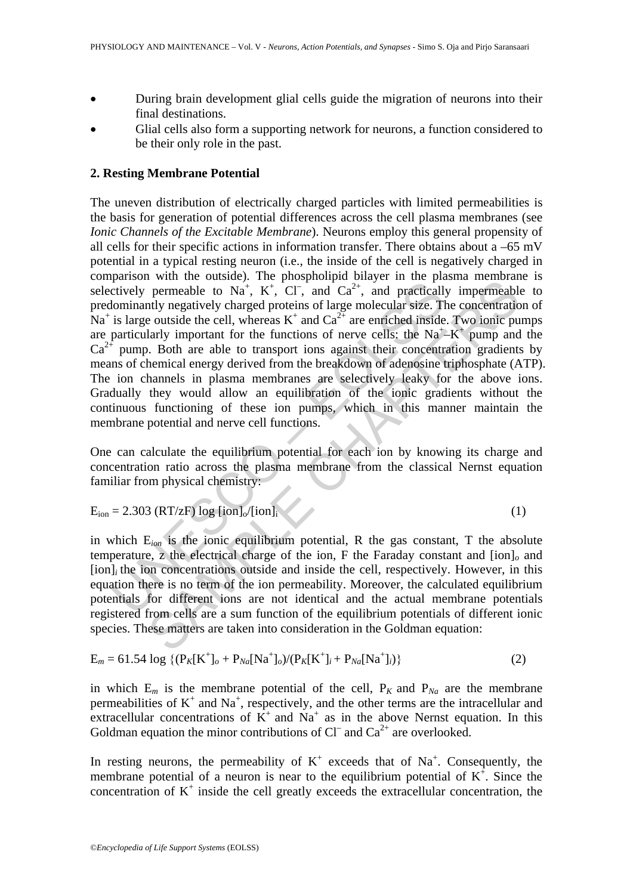- During brain development glial cells guide the migration of neurons into their final destinations.
- Glial cells also form a supporting network for neurons, a function considered to be their only role in the past.

### **2. Resting Membrane Potential**

extract of mark of the bases of the proposition of the proposition<br>trively permeable to Na<sup>+</sup>, K<sup>+</sup>, C1, and Ca<sup>2+</sup>, and practicall<br>lominantly negatively charged proteins of large molecular size. This large outside the ce From the basistop. The possipulo may is the mean from the parameterior in the permeable to Na<sup>7</sup>, K<sup>r</sup>, Cl<sup>-</sup>, and Ca<sup>2+</sup> are enriched inside. Two ionic puremeable to Na<sup>7</sup>, K<sup>r</sup>, Cl<sup>-</sup>, and Ca<sup>2+</sup> are enriched inside. Tw The uneven distribution of electrically charged particles with limited permeabilities is the basis for generation of potential differences across the cell plasma membranes (see *Ionic Channels of the Excitable Membrane*). Neurons employ this general propensity of all cells for their specific actions in information transfer. There obtains about a –65 mV potential in a typical resting neuron (i.e., the inside of the cell is negatively charged in comparison with the outside). The phospholipid bilayer in the plasma membrane is selectively permeable to Na<sup>+</sup>, K<sup>+</sup>, Cl<sup>-</sup>, and Ca<sup>2+</sup>, and practically impermeable to predominantly negatively charged proteins of large molecular size. The concentration of  $Na<sup>+</sup>$  is large outside the cell, whereas  $K<sup>+</sup>$  and  $Ca<sup>2+</sup>$  are enriched inside. Two ionic pumps are particularly important for the functions of nerve cells: the  $Na^+ - K^+$  pump and the  $Ca<sup>2+</sup>$  pump. Both are able to transport ions against their concentration gradients by means of chemical energy derived from the breakdown of adenosine triphosphate (ATP). The ion channels in plasma membranes are selectively leaky for the above ions. Gradually they would allow an equilibration of the ionic gradients without the continuous functioning of these ion pumps, which in this manner maintain the membrane potential and nerve cell functions.

One can calculate the equilibrium potential for each ion by knowing its charge and concentration ratio across the plasma membrane from the classical Nernst equation familiar from physical chemistry:

$$
E_{ion} = 2.303 (RT/zF) \log [ion]_{o}/[ion]_{i}
$$
 (1)

in which E*ion* is the ionic equilibrium potential, R the gas constant, T the absolute temperature, z the electrical charge of the ion, F the Faraday constant and [ion]*o* and [ion]*<sup>i</sup>* the ion concentrations outside and inside the cell, respectively. However, in this equation there is no term of the ion permeability. Moreover, the calculated equilibrium potentials for different ions are not identical and the actual membrane potentials registered from cells are a sum function of the equilibrium potentials of different ionic species. These matters are taken into consideration in the Goldman equation:

$$
E_m = 61.54 \log \{ (P_K[K^+]_o + P_{Na}[Na^+]_o) / (P_K[K^+]_i + P_{Na}[Na^+]_i) \}
$$
 (2)

in which  $E_m$  is the membrane potential of the cell,  $P_K$  and  $P_{Na}$  are the membrane permeabilities of  $K^+$  and  $Na^+$ , respectively, and the other terms are the intracellular and extracellular concentrations of  $K^+$  and  $Na^+$  as in the above Nernst equation. In this Goldman equation the minor contributions of  $Cl^-$  and  $Ca^{2+}$  are overlooked.

In resting neurons, the permeability of  $K^+$  exceeds that of Na<sup>+</sup>. Consequently, the membrane potential of a neuron is near to the equilibrium potential of  $K^+$ . Since the concentration of  $K^+$  inside the cell greatly exceeds the extracellular concentration, the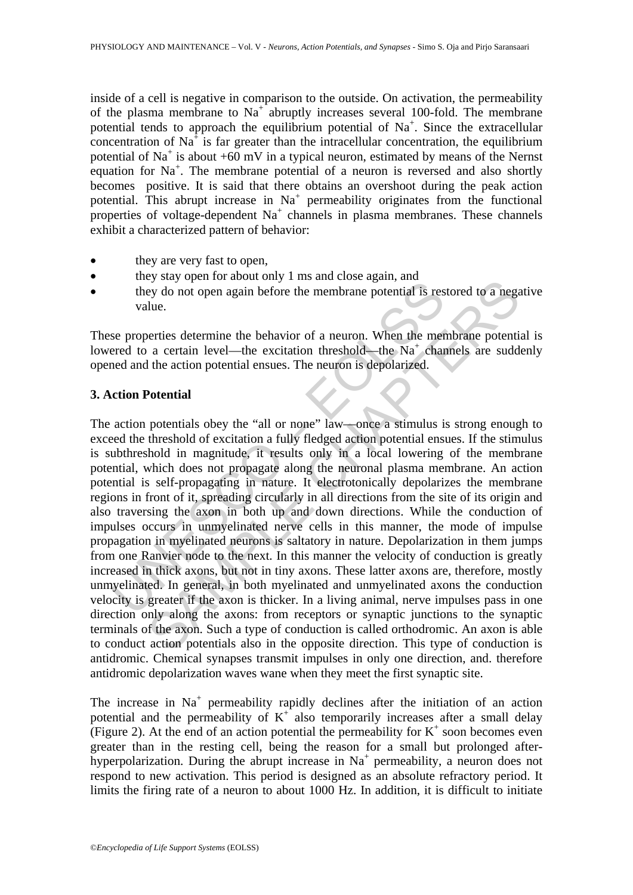inside of a cell is negative in comparison to the outside. On activation, the permeability of the plasma membrane to  $Na<sup>+</sup>$  abruptly increases several 100-fold. The membrane potential tends to approach the equilibrium potential of  $Na<sup>+</sup>$ . Since the extracellular concentration of  $Na<sup>+</sup>$  is far greater than the intracellular concentration, the equilibrium potential of Na<sup>+</sup> is about +60 mV in a typical neuron, estimated by means of the Nernst equation for  $Na<sup>+</sup>$ . The membrane potential of a neuron is reversed and also shortly becomes positive. It is said that there obtains an overshoot during the peak action potential. This abrupt increase in  $Na<sup>+</sup>$  permeability originates from the functional properties of voltage-dependent  $Na<sup>+</sup>$  channels in plasma membranes. These channels exhibit a characterized pattern of behavior:

- they are very fast to open,
- they stay open for about only 1 ms and close again, and
- they do not open again before the membrane potential is restored to a negative value.

These properties determine the behavior of a neuron. When the membrane potential is lowered to a certain level—the excitation threshold—the Na<sup>+</sup> channels are suddenly opened and the action potential ensues. The neuron is depolarized.

### **3. Action Potential**

they stay of pear to absolve only 1 his and close ugain, since the they do not open again before the membrane potential is res<br>value.<br>See properties determine the behavior of a neuron. When the mere<br>red to a certain level by say open on about dany 1 mis and close again, and<br>equivalent is restored to a negative do not open again before the membrane potential is restored to a negative.<br>
Then the membrane potential is restored to a negative a The action potentials obey the "all or none" law—once a stimulus is strong enough to exceed the threshold of excitation a fully fledged action potential ensues. If the stimulus is subthreshold in magnitude, it results only in a local lowering of the membrane potential, which does not propagate along the neuronal plasma membrane. An action potential is self-propagating in nature. It electrotonically depolarizes the membrane regions in front of it, spreading circularly in all directions from the site of its origin and also traversing the axon in both up and down directions. While the conduction of impulses occurs in unmyelinated nerve cells in this manner, the mode of impulse propagation in myelinated neurons is saltatory in nature. Depolarization in them jumps from one Ranvier node to the next. In this manner the velocity of conduction is greatly increased in thick axons, but not in tiny axons. These latter axons are, therefore, mostly unmyelinated. In general, in both myelinated and unmyelinated axons the conduction velocity is greater if the axon is thicker. In a living animal, nerve impulses pass in one direction only along the axons: from receptors or synaptic junctions to the synaptic terminals of the axon. Such a type of conduction is called orthodromic. An axon is able to conduct action potentials also in the opposite direction. This type of conduction is antidromic. Chemical synapses transmit impulses in only one direction, and. therefore antidromic depolarization waves wane when they meet the first synaptic site.

The increase in  $Na<sup>+</sup>$  permeability rapidly declines after the initiation of an action potential and the permeability of  $K^+$  also temporarily increases after a small delay (Figure 2). At the end of an action potential the permeability for  $K^+$  soon becomes even greater than in the resting cell, being the reason for a small but prolonged afterhyperpolarization. During the abrupt increase in  $Na<sup>+</sup>$  permeability, a neuron does not respond to new activation. This period is designed as an absolute refractory period. It limits the firing rate of a neuron to about 1000 Hz. In addition, it is difficult to initiate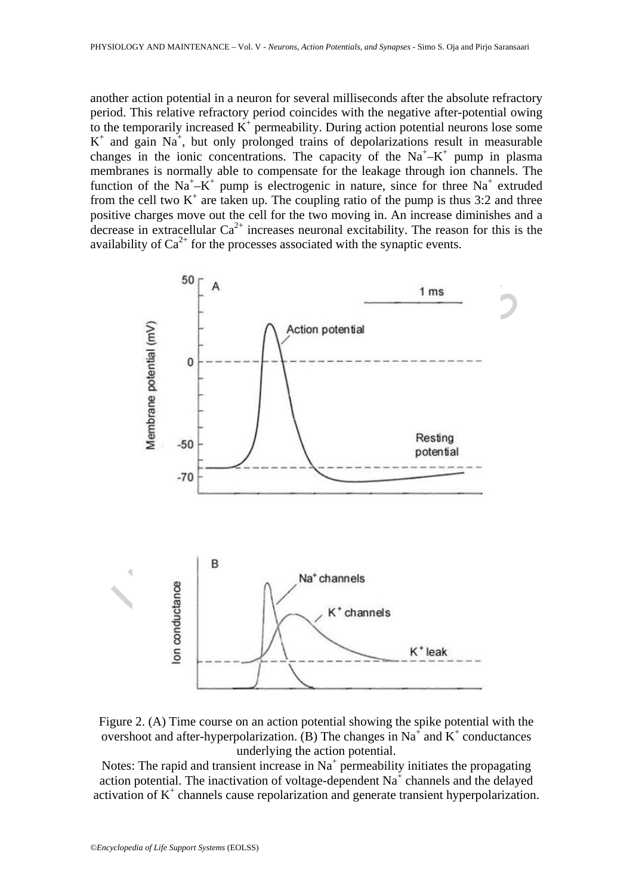another action potential in a neuron for several milliseconds after the absolute refractory period. This relative refractory period coincides with the negative after-potential owing to the temporarily increased  $K^+$  permeability. During action potential neurons lose some  $K^+$  and gain  $Na^+$ , but only prolonged trains of depolarizations result in measurable changes in the ionic concentrations. The capacity of the  $Na<sup>+</sup>-K<sup>+</sup>$  pump in plasma membranes is normally able to compensate for the leakage through ion channels. The function of the Na<sup>+</sup>-K<sup>+</sup> pump is electrogenic in nature, since for three Na<sup>+</sup> extruded from the cell two  $K^+$  are taken up. The coupling ratio of the pump is thus 3:2 and three positive charges move out the cell for the two moving in. An increase diminishes and a decrease in extracellular  $Ca^{2+}$  increases neuronal excitability. The reason for this is the availability of  $Ca^{2+}$  for the processes associated with the synaptic events.



Figure 2. (A) Time course on an action potential showing the spike potential with the overshoot and after-hyperpolarization. (B) The changes in Na<sup>+</sup> and  $K^+$  conductances underlying the action potential.

Notes: The rapid and transient increase in  $Na<sup>+</sup>$  permeability initiates the propagating action potential. The inactivation of voltage-dependent  $Na<sup>+</sup>$  channels and the delayed activation of  $K^+$  channels cause repolarization and generate transient hyperpolarization.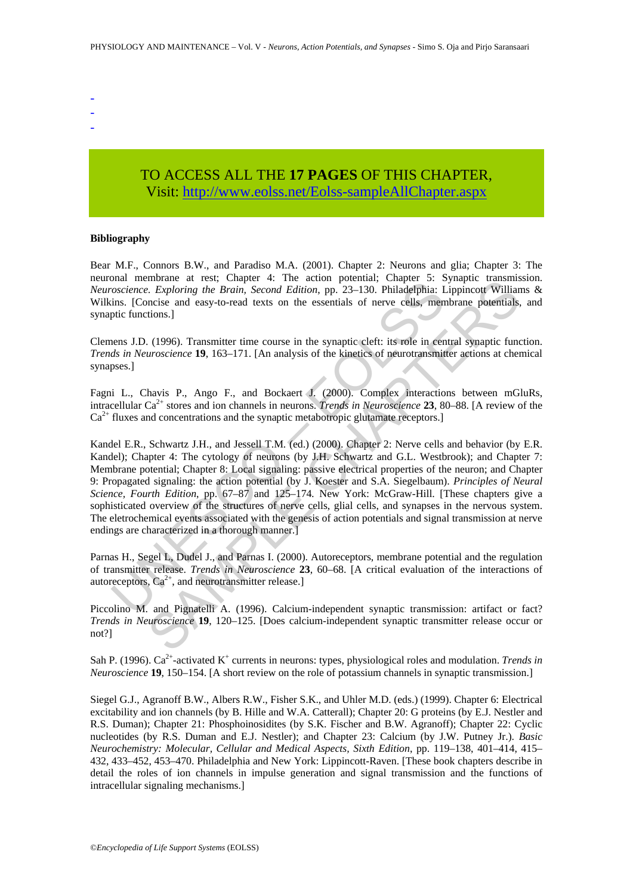- -
- -

# TO ACCESS ALL THE **17 PAGES** OF THIS CHAPTER, Visit: [http://www.eolss.net/Eolss-sampleAllChapter.aspx](https://www.eolss.net/ebooklib/sc_cart.aspx?File=E6-54-09-04)

#### **Bibliography**

Bear M.F., Connors B.W., and Paradiso M.A. (2001). Chapter 2: Neurons and glia; Chapter 3: The neuronal membrane at rest; Chapter 4: The action potential; Chapter 5: Synaptic transmission. *Neuroscience. Exploring the Brain, Second Edition*, pp. 23–130. Philadelphia: Lippincott Williams & Wilkins. [Concise and easy-to-read texts on the essentials of nerve cells, membrane potentials, and synaptic functions.]

Clemens J.D. (1996). Transmitter time course in the synaptic cleft: its role in central synaptic function. *Trends in Neuroscience* **19**, 163–171. [An analysis of the kinetics of neurotransmitter actions at chemical synapses.]

Fagni L., Chavis P., Ango F., and Bockaert J. (2000). Complex interactions between mGluRs, intracellular Ca2+ stores and ion channels in neurons. *Trends in Neuroscience* **23**, 80–88. [A review of the  $Ca^{2+}$  fluxes and concentrations and the synaptic metabotropic glutamate receptors.

Solution and test, cuapter 4. In a cation political, cuapter differed in the mathematic and experime the Brain, Second Edition, pp. 23-130. Philadelphia: I ins. [Concise and easy-to-read texts on the essentials of nerve c infinition at less, Chapter 4. In a action politimal, Chapter 3. Synapic transmission<br> *E. Exploring the Brain, Second Edition*, pp. 23-130. Philadelphia: Lippincott William<br>
rotes and easy-to-read texts on the essentials Kandel E.R., Schwartz J.H., and Jessell T.M. (ed.) (2000). Chapter 2: Nerve cells and behavior (by E.R. Kandel); Chapter 4: The cytology of neurons (by J.H. Schwartz and G.L. Westbrook); and Chapter 7: Membrane potential; Chapter 8: Local signaling: passive electrical properties of the neuron; and Chapter 9: Propagated signaling: the action potential (by J. Koester and S.A. Siegelbaum). *Principles of Neural Science, Fourth Edition*, pp. 67–87 and 125–174*.* New York: McGraw-Hill. [These chapters give a sophisticated overview of the structures of nerve cells, glial cells, and synapses in the nervous system. The eletrochemical events associated with the genesis of action potentials and signal transmission at nerve endings are characterized in a thorough manner.]

Parnas H., Segel L, Dudel J., and Parnas I. (2000). Autoreceptors, membrane potential and the regulation of transmitter release. *Trends in Neuroscience* **23**, 60–68. [A critical evaluation of the interactions of autoreceptors,  $Ca^{2+}$ , and neurotransmitter release.]

Piccolino M. and Pignatelli A. (1996). Calcium-independent synaptic transmission: artifact or fact? *Trends in Neuroscience* **19**, 120–125. [Does calcium-independent synaptic transmitter release occur or not?]

Sah P. (1996). Ca<sup>2+</sup>-activated K<sup>+</sup> currents in neurons: types, physiological roles and modulation. *Trends in Neuroscience* **19**, 150–154. [A short review on the role of potassium channels in synaptic transmission.]

Siegel G.J., Agranoff B.W., Albers R.W., Fisher S.K., and Uhler M.D. (eds.) (1999). Chapter 6: Electrical excitability and ion channels (by B. Hille and W.A. Catterall); Chapter 20: G proteins (by E.J. Nestler and R.S. Duman); Chapter 21: Phosphoinosidites (by S.K. Fischer and B.W. Agranoff); Chapter 22: Cyclic nucleotides (by R.S. Duman and E.J. Nestler); and Chapter 23: Calcium (by J.W. Putney Jr.). *Basic Neurochemistry: Molecular, Cellular and Medical Aspects, Sixth Edition*, pp. 119–138, 401–414, 415– 432, 433–452, 453–470. Philadelphia and New York: Lippincott-Raven. [These book chapters describe in detail the roles of ion channels in impulse generation and signal transmission and the functions of intracellular signaling mechanisms.]